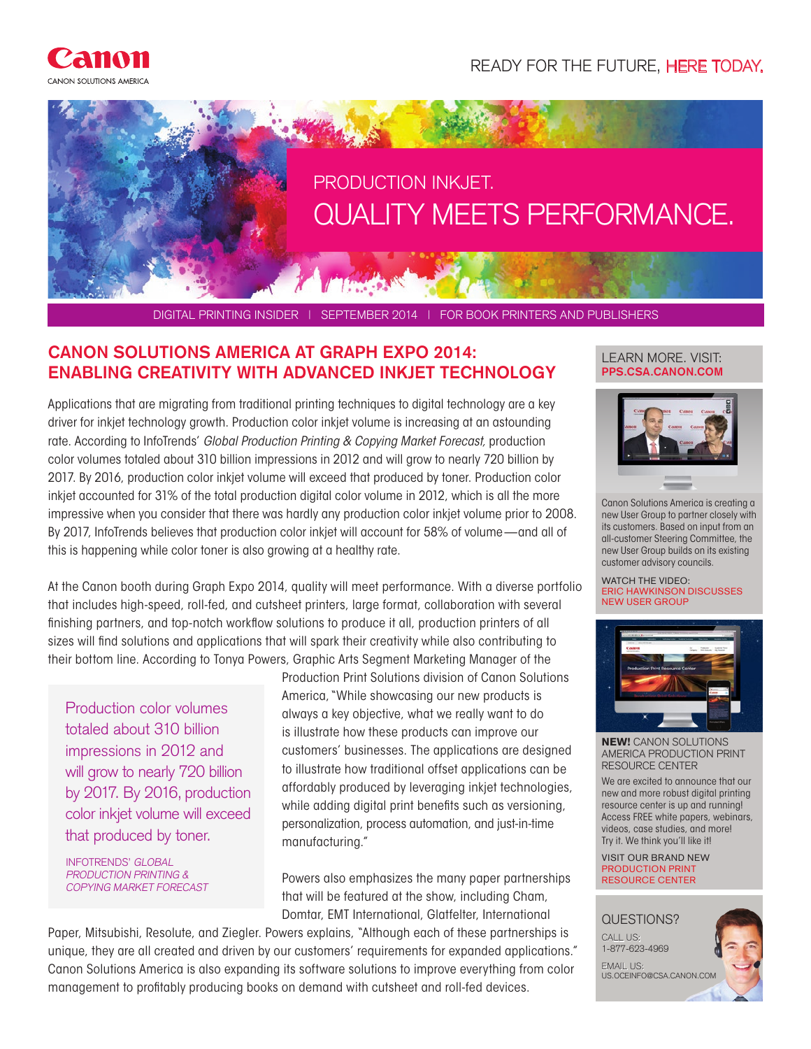READY FOR THE FUTURE, HERE TODAY.



DIGITAL PRINTING INSIDER | SEPTEMBER 2014 | FOR BOOK PRINTERS AND PUBLISHERS

## **CANON SOLUTIONS AMERICA AT GRAPH EXPO 2014:** LEARN MORE. VISIT: **ENABLING CREATIVITY WITH ADVANCED INKJET TECHNOLOGY**

Applications that are migrating from traditional printing techniques to digital technology are a key driver for inkjet technology growth. Production color inkjet volume is increasing at an astounding rate. According to InfoTrends' *Global Production Printing & Copying Market Forecast,* production color volumes totaled about 310 billion impressions in 2012 and will grow to nearly 720 billion by 2017. By 2016, production color inkjet volume will exceed that produced by toner. Production color inkjet accounted for 31% of the total production digital color volume in 2012, which is all the more impressive when you consider that there was hardly any production color inkjet volume prior to 2008. By 2017, InfoTrends believes that production color inkjet will account for 58% of volume—and all of this is happening while color toner is also growing at a healthy rate.

At the Canon booth during Graph Expo 2014, quality will meet performance. With a diverse portfolio that includes high-speed, roll-fed, and cutsheet printers, large format, collaboration with several finishing partners, and top-notch workflow solutions to produce it all, production printers of all sizes will find solutions and applications that will spark their creativity while also contributing to their bottom line. According to Tonya Powers, Graphic Arts Segment Marketing Manager of the

Production color volumes totaled about 310 billion impressions in 2012 and will grow to nearly 720 billion by 2017. By 2016, production color inkjet volume will exceed that produced by toner.

INFOTRENDS' GLOBAL PRODUCTION PRINTING & COPYING MARKET FORECAST Production Print Solutions division of Canon Solutions America, "While showcasing our new products is always a key objective, what we really want to do is illustrate how these products can improve our customers' businesses. The applications are designed to illustrate how traditional offset applications can be affordably produced by leveraging inkjet technologies, while adding digital print benefits such as versioning, personalization, process automation, and just-in-time manufacturing."

Powers also emphasizes the many paper partnerships that will be featured at the show, including Cham, Domtar, EMT International, Glatfelter, International

Paper, Mitsubishi, Resolute, and Ziegler. Powers explains, "Although each of these partnerships is unique, they are all created and driven by our customers' requirements for expanded applications." Canon Solutions America is also expanding its software solutions to improve everything from color management to profitably producing books on demand with cutsheet and roll-fed devices.

## **PPS.CSA.CANON.COM**



Canon Solutions America is creating a new User Group to partner closely with its customers. Based on input from an all-customer Steering Committee, the new User Group builds on its existing customer advisory councils.

WATCH THE VIDEO: ERIC HAWKINSON DISCUSSES NEW USER GROUP



**NEW!** CANON SOLUTIONS AMERICA PRODUCTION PRINT RESOURCE CENTER

We are excited to announce that our new and more robust digital printing resource center is up and running! Access FREE white papers, webinars, videos, case studies, and more! Try it. We think you'll like it!

VISIT OUR BRAND NEW PRODUCTION PRINT RESOURCE CENTER

## QUESTIONS? CALL US: 1-877-623-4969 EMAIL US: US.OCEINFO@CSA.CANON.COM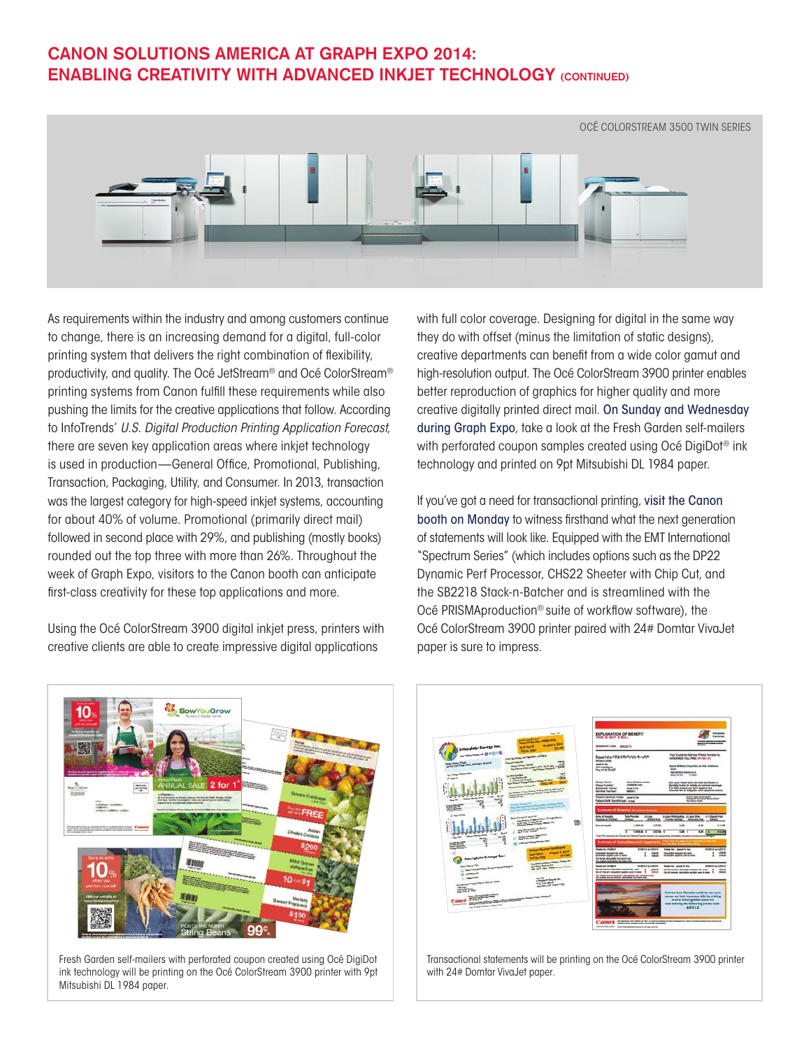## **CANON SOLUTIONS AMERICA AT GRAPH EXPO 2014: ENABLING CREATIVITY WITH ADVANCED INKJET TECHNOLOGY (CONTINUED)**



As requirements within the industry and among customers continue to change, there is an increasing demand for a digital, full-color printing system that delivers the right combination of flexibility, productivity, and quality. The Océ JetStream® and Océ ColorStream® printing systems from Canon fulfill these requirements while also pushing the limits for the creative applications that follow. According to InfoTrends' *U.S. Digital Production Printing Application Forecast*, there are seven key application areas where inkjet technology is used in production—General Office, Promotional, Publishing, Transaction, Packaging, Utility, and Consumer. In 2013, transaction was the largest category for high-speed inkjet systems, accounting for about 40% of volume. Promotional (primarily direct mail) followed in second place with 29%, and publishing (mostly books) rounded out the top three with more than 26%. Throughout the week of Graph Expo, visitors to the Canon booth can anticipate first-class creativity for these top applications and more.

Using the Océ ColorStream 3900 digital inkjet press, printers with creative clients are able to create impressive digital applications

with full color coverage. Designing for digital in the same way they do with offset (minus the limitation of static designs), creative departments can benefit from a wide color gamut and high-resolution output. The Océ ColorStream 3900 printer enables better reproduction of graphics for higher quality and more creative digitally printed direct mail. On Sunday and Wednesday during Graph Expo, take a look at the Fresh Garden self-mailers with perforated coupon samples created using Océ DigiDot<sup>®</sup> ink technology and printed on 9pt Mitsubishi DL 1984 paper.

If you've got a need for transactional printing, visit the Canon booth on Monday to witness firsthand what the next generation of statements will look like. Equipped with the EMT International "Spectrum Series" (which includes options such as the DP22 Dynamic Perf Processor, CHS22 Sheeter with Chip Cut, and the SB2218 Stack-n-Batcher and is streamlined with the Océ PRISMAproduction® suite of workflow software), the Océ ColorStream 3900 printer paired with 24# Domtar VivaJet paper is sure to impress.



Fresh Garden self-mailers with perforated coupon created using Océ DigiDot ink technology will be printing on the Océ ColorStream 3900 printer with 9pt Mitsubishi DL 1984 paper.



Transactional statements will be printing on the Océ ColorStream 3900 printer with 24# Domtar VivaJet paper.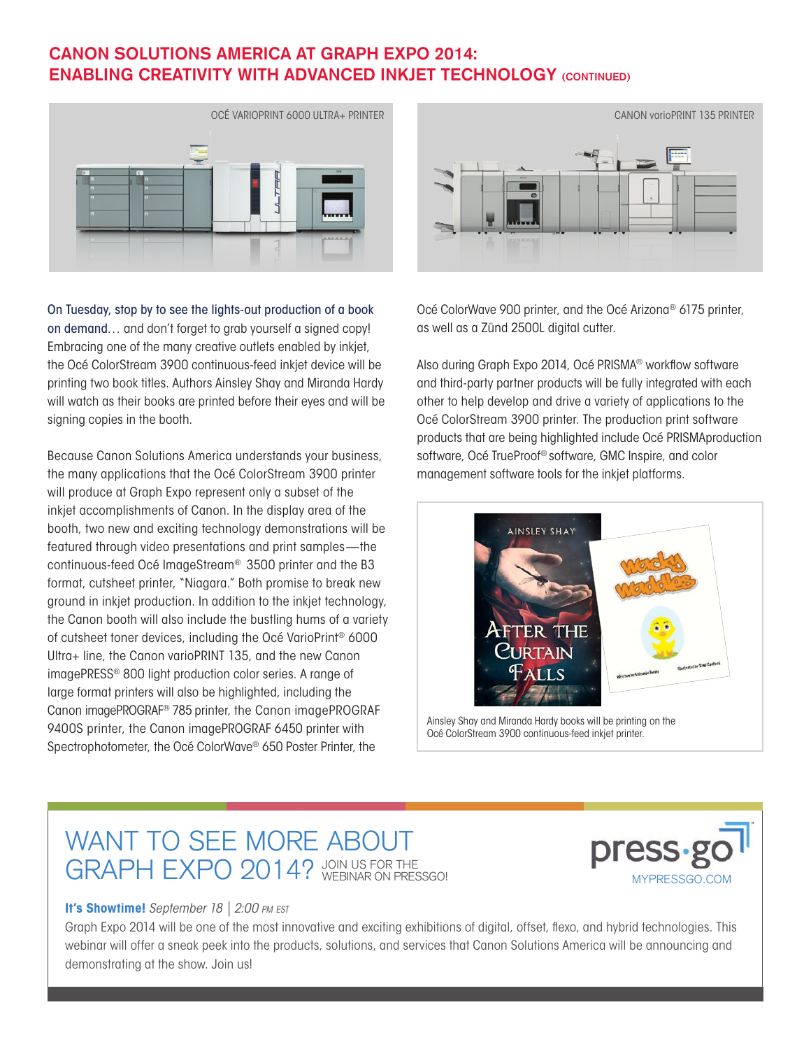## **CANON SOLUTIONS AMERICA AT GRAPH EXPO 2014: ENABLING CREATIVITY WITH ADVANCED INKJET TECHNOLOGY (CONTINUED)**



On Tuesday, stop by to see the lights-out production of a book on demand… and don't forget to grab yourself a signed copy! Embracing one of the many creative outlets enabled by inkjet, the Océ ColorStream 3900 continuous-feed inkjet device will be printing two book titles. Authors Ainsley Shay and Miranda Hardy will watch as their books are printed before their eyes and will be signing copies in the booth.

Because Canon Solutions America understands your business, the many applications that the Océ ColorStream 3900 printer will produce at Graph Expo represent only a subset of the inkjet accomplishments of Canon. In the display area of the booth, two new and exciting technology demonstrations will be featured through video presentations and print samples—the continuous-feed Océ ImageStream® 3500 printer and the B3 format, cutsheet printer, "Niagara." Both promise to break new ground in inkjet production. In addition to the inkjet technology, the Canon booth will also include the bustling hums of a variety of cutsheet toner devices, including the Océ VarioPrint® 6000 Ultra+ line, the Canon varioPRINT 135, and the new Canon imagePRESS® 800 light production color series. A range of large format printers will also be highlighted, including the Canon imagePROGRAF® 785 printer, the Canon imagePROGRAF 9400S printer, the Canon imagePROGRAF 6450 printer with Spectrophotometer, the Océ ColorWave® 650 Poster Printer, the



Océ ColorWave 900 printer, and the Océ Arizona® 6175 printer, as well as a Zünd 2500L digital cutter.

Also during Graph Expo 2014, Océ PRISMA® workflow software and third-party partner products will be fully integrated with each other to help develop and drive a variety of applications to the Océ ColorStream 3900 printer. The production print software products that are being highlighted include Océ PRISMAproduction software, Océ TrueProof® software, GMC Inspire, and color management software tools for the inkjet platforms.



Ainsley Shay and Miranda Hardy books will be printing on the Océ ColorStream 3900 continuous-feed inkjet printer.

# WANT TO SEE MORE ABOUT GRAPH EXPO 2014? JOIN US FOR THE MYPRESSGO.COM



#### **It's Showtime!** *September 18 | 2:00 pm est*

Graph Expo 2014 will be one of the most innovative and exciting exhibitions of digital, offset, flexo, and hybrid technologies. This webinar will offer a sneak peek into the products, solutions, and services that Canon Solutions America will be announcing and demonstrating at the show. Join us!